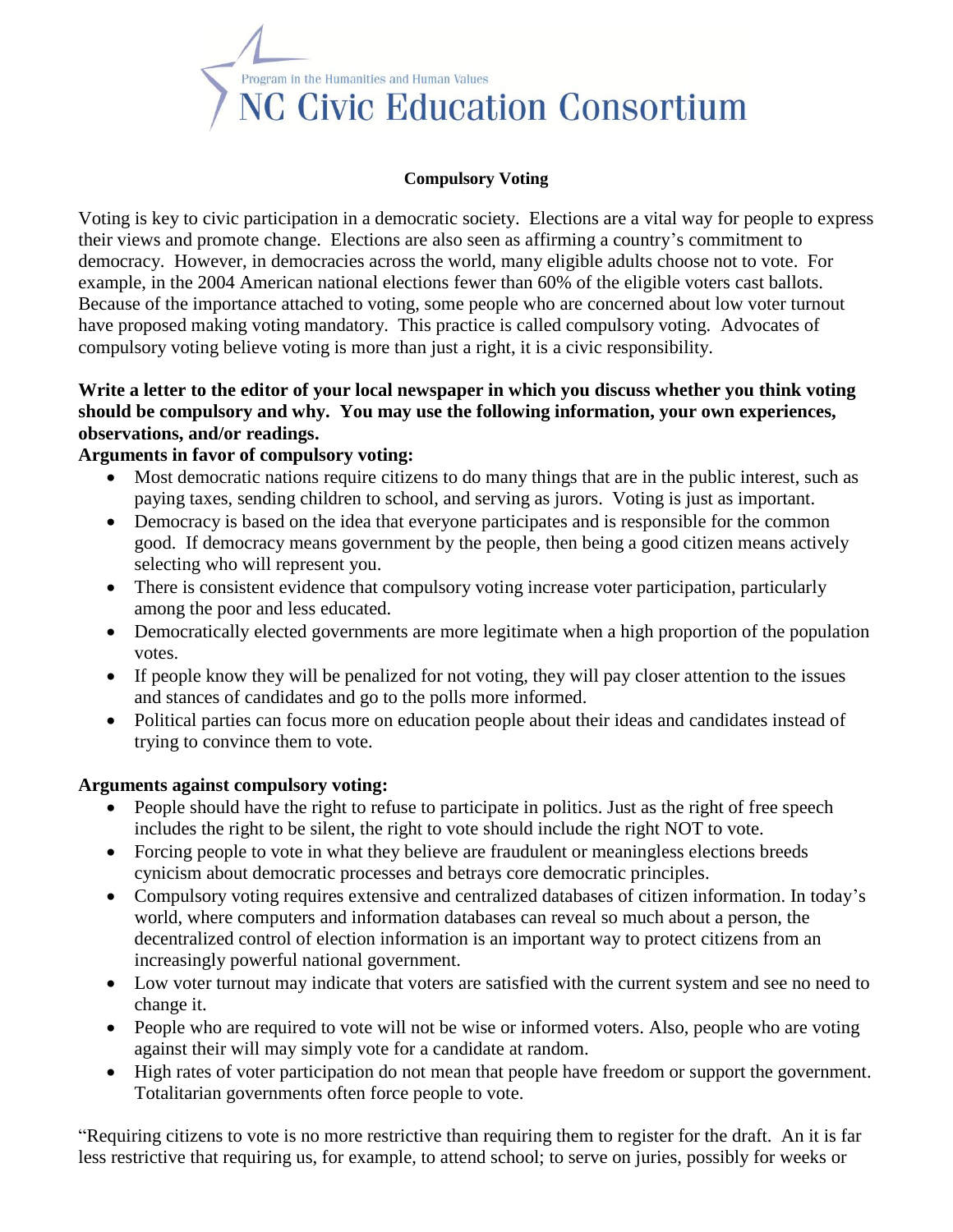

### **Compulsory Voting**

Voting is key to civic participation in a democratic society. Elections are a vital way for people to express their views and promote change. Elections are also seen as affirming a country's commitment to democracy. However, in democracies across the world, many eligible adults choose not to vote. For example, in the 2004 American national elections fewer than 60% of the eligible voters cast ballots. Because of the importance attached to voting, some people who are concerned about low voter turnout have proposed making voting mandatory. This practice is called compulsory voting. Advocates of compulsory voting believe voting is more than just a right, it is a civic responsibility.

# **Write a letter to the editor of your local newspaper in which you discuss whether you think voting should be compulsory and why. You may use the following information, your own experiences, observations, and/or readings.**

## **Arguments in favor of compulsory voting:**

- Most democratic nations require citizens to do many things that are in the public interest, such as paying taxes, sending children to school, and serving as jurors. Voting is just as important.
- Democracy is based on the idea that everyone participates and is responsible for the common good. If democracy means government by the people, then being a good citizen means actively selecting who will represent you.
- There is consistent evidence that compulsory voting increase voter participation, particularly among the poor and less educated.
- Democratically elected governments are more legitimate when a high proportion of the population votes.
- If people know they will be penalized for not voting, they will pay closer attention to the issues and stances of candidates and go to the polls more informed.
- Political parties can focus more on education people about their ideas and candidates instead of trying to convince them to vote.

## **Arguments against compulsory voting:**

- People should have the right to refuse to participate in politics. Just as the right of free speech includes the right to be silent, the right to vote should include the right NOT to vote.
- Forcing people to vote in what they believe are fraudulent or meaningless elections breeds cynicism about democratic processes and betrays core democratic principles.
- Compulsory voting requires extensive and centralized databases of citizen information. In today's world, where computers and information databases can reveal so much about a person, the decentralized control of election information is an important way to protect citizens from an increasingly powerful national government.
- Low voter turnout may indicate that voters are satisfied with the current system and see no need to change it.
- People who are required to vote will not be wise or informed voters. Also, people who are voting against their will may simply vote for a candidate at random.
- High rates of voter participation do not mean that people have freedom or support the government. Totalitarian governments often force people to vote.

"Requiring citizens to vote is no more restrictive than requiring them to register for the draft. An it is far less restrictive that requiring us, for example, to attend school; to serve on juries, possibly for weeks or